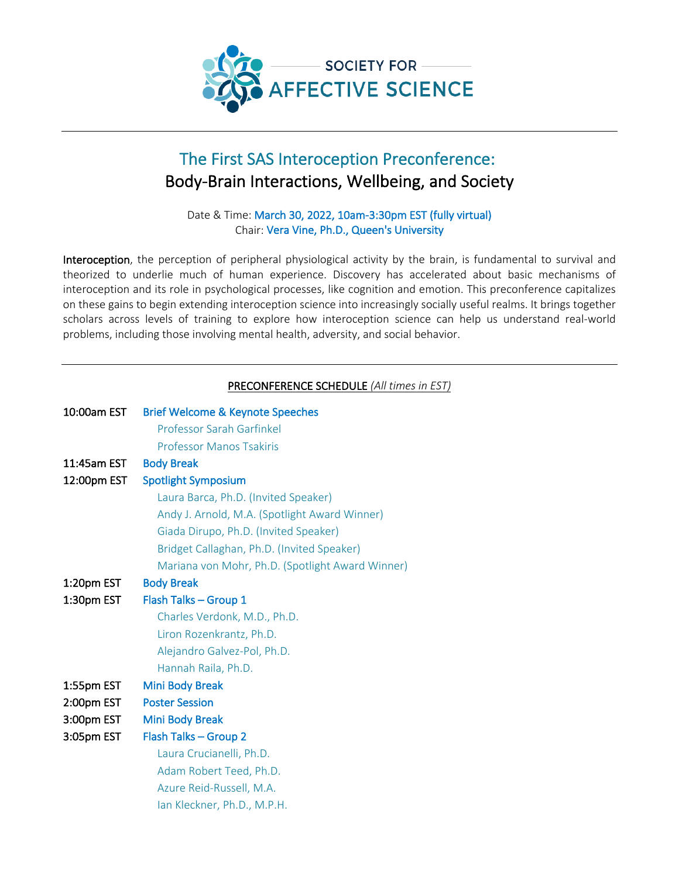

# The First SAS Interoception Preconference: Body-Brain Interactions, Wellbeing, and Society

Date & Time: March 30, 2022, 10am-3:30pm EST (fully virtual) Chair: Vera Vine, Ph.D., Queen's University

Interoception, the perception of peripheral physiological activity by the brain, is fundamental to survival and theorized to underlie much of human experience. Discovery has accelerated about basic mechanisms of interoception and its role in psychological processes, like cognition and emotion. This preconference capitalizes on these gains to begin extending interoception science into increasingly socially useful realms. It brings together scholars across levels of training to explore how interoception science can help us understand real-world problems, including those involving mental health, adversity, and social behavior.

### PRECONFERENCE SCHEDULE *(All times in EST)*

| 10:00am EST | <b>Brief Welcome &amp; Keynote Speeches</b>      |
|-------------|--------------------------------------------------|
|             | <b>Professor Sarah Garfinkel</b>                 |
|             | <b>Professor Manos Tsakiris</b>                  |
| 11:45am EST | <b>Body Break</b>                                |
| 12:00pm EST | <b>Spotlight Symposium</b>                       |
|             | Laura Barca, Ph.D. (Invited Speaker)             |
|             | Andy J. Arnold, M.A. (Spotlight Award Winner)    |
|             | Giada Dirupo, Ph.D. (Invited Speaker)            |
|             | Bridget Callaghan, Ph.D. (Invited Speaker)       |
|             | Mariana von Mohr, Ph.D. (Spotlight Award Winner) |
| 1:20pm EST  | <b>Body Break</b>                                |
| 1:30pm EST  | Flash Talks - Group 1                            |
|             | Charles Verdonk, M.D., Ph.D.                     |
|             | Liron Rozenkrantz, Ph.D.                         |
|             | Alejandro Galvez-Pol, Ph.D.                      |
|             | Hannah Raila, Ph.D.                              |
| 1:55pm EST  | <b>Mini Body Break</b>                           |
| 2:00pm EST  | <b>Poster Session</b>                            |
| 3:00pm EST  | <b>Mini Body Break</b>                           |
| 3:05pm EST  | Flash Talks - Group 2                            |
|             | Laura Crucianelli, Ph.D.                         |
|             | Adam Robert Teed, Ph.D.                          |
|             | Azure Reid-Russell, M.A.                         |
|             | Ian Kleckner, Ph.D., M.P.H.                      |
|             |                                                  |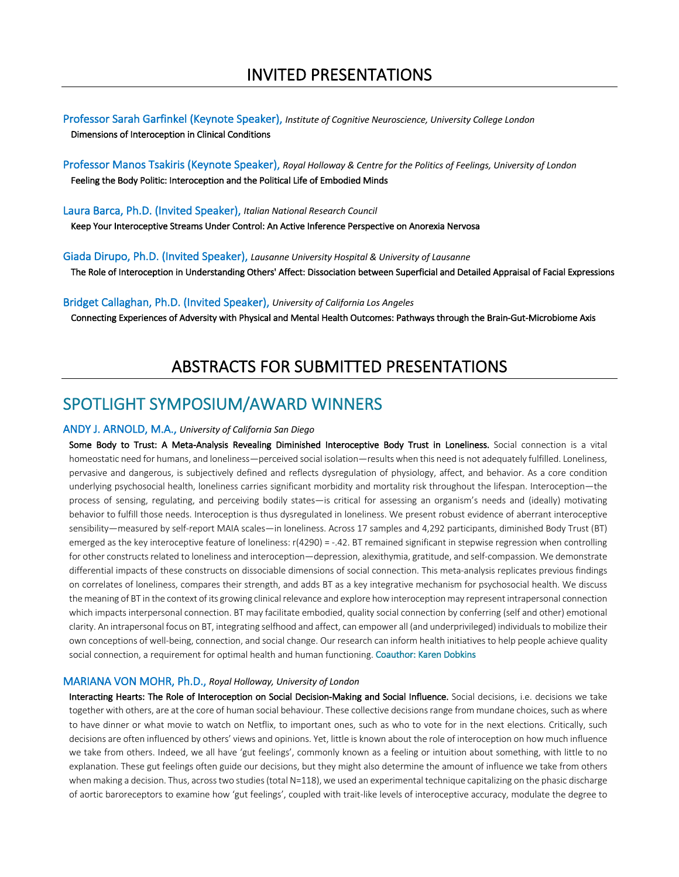Professor Sarah Garfinkel (Keynote Speaker), *Institute of Cognitive Neuroscience, University College London* Dimensions of Interoception in Clinical Conditions

Professor Manos Tsakiris (Keynote Speaker), *Royal Holloway & Centre for the Politics of Feelings, University of London* Feeling the Body Politic: Interoception and the Political Life of Embodied Minds

Laura Barca, Ph.D. (Invited Speaker), *Italian National Research Council*

Keep Your Interoceptive Streams Under Control: An Active Inference Perspective on Anorexia Nervosa

Giada Dirupo, Ph.D. (Invited Speaker), *Lausanne University Hospital & University of Lausanne* The Role of Interoception in Understanding Others' Affect: Dissociation between Superficial and Detailed Appraisal of Facial Expressions

Bridget Callaghan, Ph.D. (Invited Speaker), *University of California Los Angeles*

Connecting Experiences of Adversity with Physical and Mental Health Outcomes: Pathways through the Brain-Gut-Microbiome Axis

### ABSTRACTS FOR SUBMITTED PRESENTATIONS

### SPOTLIGHT SYMPOSIUM/AWARD WINNERS

#### ANDY J. ARNOLD, M.A., *University of California San Diego*

Some Body to Trust: A Meta-Analysis Revealing Diminished Interoceptive Body Trust in Loneliness. Social connection is a vital homeostatic need for humans, and loneliness—perceived social isolation—results when this need is not adequately fulfilled. Loneliness, pervasive and dangerous, is subjectively defined and reflects dysregulation of physiology, affect, and behavior. As a core condition underlying psychosocial health, loneliness carries significant morbidity and mortality risk throughout the lifespan. Interoception—the process of sensing, regulating, and perceiving bodily states—is critical for assessing an organism's needs and (ideally) motivating behavior to fulfill those needs. Interoception is thus dysregulated in loneliness. We present robust evidence of aberrant interoceptive sensibility—measured by self-report MAIA scales—in loneliness. Across 17 samples and 4,292 participants, diminished Body Trust (BT) emerged as the key interoceptive feature of loneliness: r(4290) = -.42. BT remained significant in stepwise regression when controlling for other constructs related to loneliness and interoception—depression, alexithymia, gratitude, and self-compassion. We demonstrate differential impacts of these constructs on dissociable dimensions of social connection. This meta-analysis replicates previous findings on correlates of loneliness, compares their strength, and adds BT as a key integrative mechanism for psychosocial health. We discuss the meaning of BT in the context of its growing clinical relevance and explore how interoception may represent intrapersonal connection which impacts interpersonal connection. BT may facilitate embodied, quality social connection by conferring (self and other) emotional clarity. An intrapersonal focus on BT, integrating selfhood and affect, can empower all (and underprivileged) individuals to mobilize their own conceptions of well-being, connection, and social change. Our research can inform health initiatives to help people achieve quality social connection, a requirement for optimal health and human functioning. Coauthor: Karen Dobkins

#### MARIANA VON MOHR, Ph.D., *Royal Holloway, University of London*

Interacting Hearts: The Role of Interoception on Social Decision-Making and Social Influence. Social decisions, i.e. decisions we take together with others, are at the core of human social behaviour. These collective decisions range from mundane choices, such as where to have dinner or what movie to watch on Netflix, to important ones, such as who to vote for in the next elections. Critically, such decisions are often influenced by others' views and opinions. Yet, little is known about the role of interoception on how much influence we take from others. Indeed, we all have 'gut feelings', commonly known as a feeling or intuition about something, with little to no explanation. These gut feelings often guide our decisions, but they might also determine the amount of influence we take from others when making a decision. Thus, across two studies (total N=118), we used an experimental technique capitalizing on the phasic discharge of aortic baroreceptors to examine how 'gut feelings', coupled with trait-like levels of interoceptive accuracy, modulate the degree to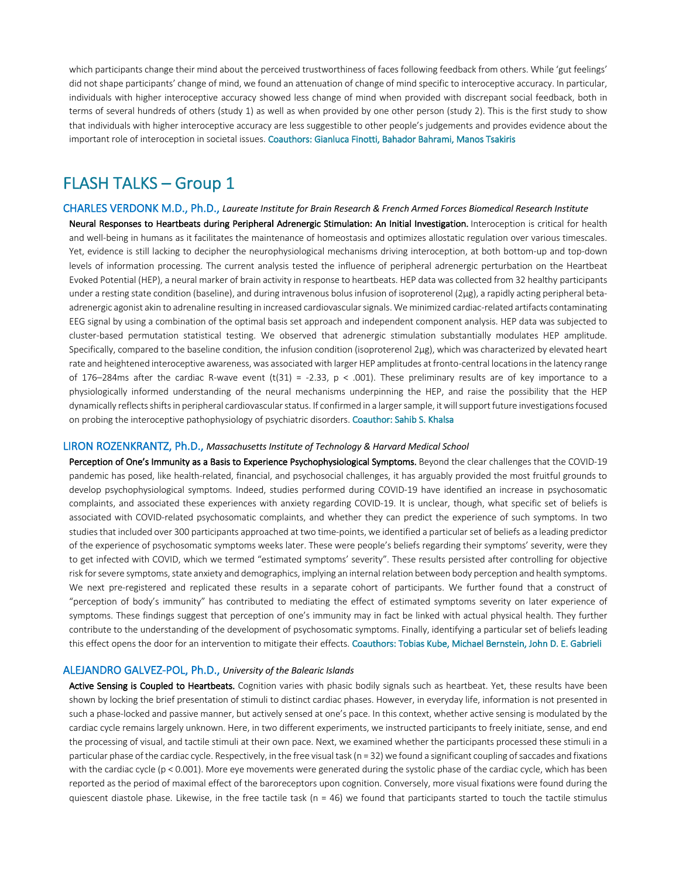which participants change their mind about the perceived trustworthiness of faces following feedback from others. While 'gut feelings' did not shape participants' change of mind, we found an attenuation of change of mind specific to interoceptive accuracy. In particular, individuals with higher interoceptive accuracy showed less change of mind when provided with discrepant social feedback, both in terms of several hundreds of others (study 1) as well as when provided by one other person (study 2). This is the first study to show that individuals with higher interoceptive accuracy are less suggestible to other people's judgements and provides evidence about the important role of interoception in societal issues. Coauthors: Gianluca Finotti, Bahador Bahrami, Manos Tsakiris

## FLASH TALKS – Group 1

CHARLES VERDONK M.D., Ph.D., *Laureate Institute for Brain Research & French Armed Forces Biomedical Research Institute* Neural Responses to Heartbeats during Peripheral Adrenergic Stimulation: An Initial Investigation. Interoception is critical for health and well-being in humans as it facilitates the maintenance of homeostasis and optimizes allostatic regulation over various timescales. Yet, evidence is still lacking to decipher the neurophysiological mechanisms driving interoception, at both bottom-up and top-down levels of information processing. The current analysis tested the influence of peripheral adrenergic perturbation on the Heartbeat Evoked Potential (HEP), a neural marker of brain activity in response to heartbeats. HEP data was collected from 32 healthy participants under a resting state condition (baseline), and during intravenous bolus infusion of isoproterenol (2μg), a rapidly acting peripheral betaadrenergic agonist akin to adrenaline resulting in increased cardiovascular signals. We minimized cardiac-related artifacts contaminating EEG signal by using a combination of the optimal basis set approach and independent component analysis. HEP data was subjected to cluster-based permutation statistical testing. We observed that adrenergic stimulation substantially modulates HEP amplitude. Specifically, compared to the baseline condition, the infusion condition (isoproterenol 2μg), which was characterized by elevated heart rate and heightened interoceptive awareness, was associated with larger HEP amplitudes at fronto-central locationsin the latency range of 176–284ms after the cardiac R-wave event (t(31) = -2.33,  $p < .001$ ). These preliminary results are of key importance to a physiologically informed understanding of the neural mechanisms underpinning the HEP, and raise the possibility that the HEP dynamically reflects shifts in peripheral cardiovascular status. If confirmed in a larger sample, it will support future investigations focused on probing the interoceptive pathophysiology of psychiatric disorders. Coauthor: Sahib S. Khalsa

#### LIRON ROZENKRANTZ, Ph.D., *Massachusetts Institute of Technology & Harvard Medical School*

Perception of One's Immunity as a Basis to Experience Psychophysiological Symptoms. Beyond the clear challenges that the COVID-19 pandemic has posed, like health-related, financial, and psychosocial challenges, it has arguably provided the most fruitful grounds to develop psychophysiological symptoms. Indeed, studies performed during COVID-19 have identified an increase in psychosomatic complaints, and associated these experiences with anxiety regarding COVID-19. It is unclear, though, what specific set of beliefs is associated with COVID-related psychosomatic complaints, and whether they can predict the experience of such symptoms. In two studies that included over 300 participants approached at two time-points, we identified a particular set of beliefs as a leading predictor of the experience of psychosomatic symptoms weeks later. These were people's beliefs regarding their symptoms' severity, were they to get infected with COVID, which we termed "estimated symptoms' severity". These results persisted after controlling for objective risk for severe symptoms, state anxiety and demographics, implying an internal relation between body perception and health symptoms. We next pre-registered and replicated these results in a separate cohort of participants. We further found that a construct of "perception of body's immunity" has contributed to mediating the effect of estimated symptoms severity on later experience of symptoms. These findings suggest that perception of one's immunity may in fact be linked with actual physical health. They further contribute to the understanding of the development of psychosomatic symptoms. Finally, identifying a particular set of beliefs leading this effect opens the door for an intervention to mitigate their effects. Coauthors: Tobias Kube, Michael Bernstein, John D. E. Gabrieli

#### ALEJANDRO GALVEZ-POL, Ph.D., *University of the Balearic Islands*

Active Sensing is Coupled to Heartbeats. Cognition varies with phasic bodily signals such as heartbeat. Yet, these results have been shown by locking the brief presentation of stimuli to distinct cardiac phases. However, in everyday life, information is not presented in such a phase-locked and passive manner, but actively sensed at one's pace. In this context, whether active sensing is modulated by the cardiac cycle remains largely unknown. Here, in two different experiments, we instructed participants to freely initiate, sense, and end the processing of visual, and tactile stimuli at their own pace. Next, we examined whether the participants processed these stimuli in a particular phase of the cardiac cycle. Respectively, in the free visual task (n = 32) we found a significant coupling of saccades and fixations with the cardiac cycle (p < 0.001). More eye movements were generated during the systolic phase of the cardiac cycle, which has been reported as the period of maximal effect of the baroreceptors upon cognition. Conversely, more visual fixations were found during the quiescent diastole phase. Likewise, in the free tactile task ( $n = 46$ ) we found that participants started to touch the tactile stimulus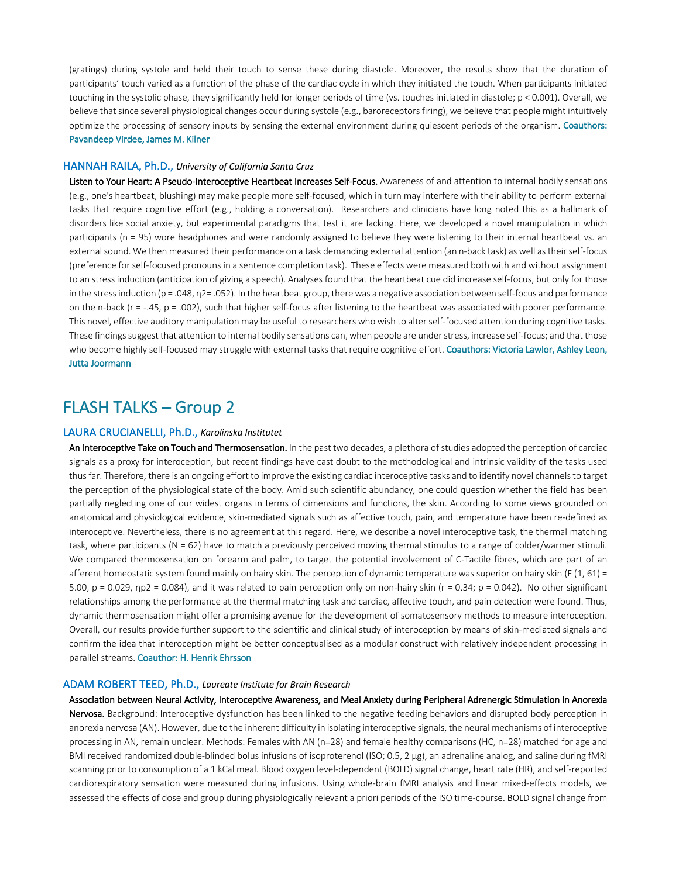(gratings) during systole and held their touch to sense these during diastole. Moreover, the results show that the duration of participants' touch varied as a function of the phase of the cardiac cycle in which they initiated the touch. When participants initiated touching in the systolic phase, they significantly held for longer periods of time (vs. touches initiated in diastole; p < 0.001). Overall, we believe that since several physiological changes occur during systole (e.g., baroreceptors firing), we believe that people might intuitively optimize the processing of sensory inputs by sensing the external environment during quiescent periods of the organism. Coauthors: Pavandeep Virdee, James M. Kilner

#### HANNAH RAILA, Ph.D., *University of California Santa Cruz*

Listen to Your Heart: A Pseudo-Interoceptive Heartbeat Increases Self-Focus. Awareness of and attention to internal bodily sensations (e.g., one's heartbeat, blushing) may make people more self-focused, which in turn may interfere with their ability to perform external tasks that require cognitive effort (e.g., holding a conversation). Researchers and clinicians have long noted this as a hallmark of disorders like social anxiety, but experimental paradigms that test it are lacking. Here, we developed a novel manipulation in which participants (n = 95) wore headphones and were randomly assigned to believe they were listening to their internal heartbeat vs. an external sound. We then measured their performance on a task demanding external attention (an n-back task) as well as their self-focus (preference for self-focused pronouns in a sentence completion task). These effects were measured both with and without assignment to an stress induction (anticipation of giving a speech). Analyses found that the heartbeat cue did increase self-focus, but only for those in the stress induction (p = .048, η2= .052). In the heartbeat group, there was a negative association between self-focus and performance on the n-back ( $r = -0.45$ ,  $p = 0.002$ ), such that higher self-focus after listening to the heartbeat was associated with poorer performance. This novel, effective auditory manipulation may be useful to researchers who wish to alter self-focused attention during cognitive tasks. These findings suggest that attention to internal bodily sensations can, when people are under stress, increase self-focus; and that those who become highly self-focused may struggle with external tasks that require cognitive effort. Coauthors: Victoria Lawlor, Ashley Leon, Jutta Joormann

## FLASH TALKS – Group 2

#### LAURA CRUCIANELLI, Ph.D., *Karolinska Institutet*

An Interoceptive Take on Touch and Thermosensation. In the past two decades, a plethora of studies adopted the perception of cardiac signals as a proxy for interoception, but recent findings have cast doubt to the methodological and intrinsic validity of the tasks used thus far. Therefore, there is an ongoing effort to improve the existing cardiac interoceptive tasks and to identify novel channels to target the perception of the physiological state of the body. Amid such scientific abundancy, one could question whether the field has been partially neglecting one of our widest organs in terms of dimensions and functions, the skin. According to some views grounded on anatomical and physiological evidence, skin-mediated signals such as affective touch, pain, and temperature have been re-defined as interoceptive. Nevertheless, there is no agreement at this regard. Here, we describe a novel interoceptive task, the thermal matching task, where participants (N = 62) have to match a previously perceived moving thermal stimulus to a range of colder/warmer stimuli. We compared thermosensation on forearm and palm, to target the potential involvement of C-Tactile fibres, which are part of an afferent homeostatic system found mainly on hairy skin. The perception of dynamic temperature was superior on hairy skin (F  $(1, 61)$  = 5.00,  $p = 0.029$ ,  $np2 = 0.084$ ), and it was related to pain perception only on non-hairy skin ( $r = 0.34$ ;  $p = 0.042$ ). No other significant relationships among the performance at the thermal matching task and cardiac, affective touch, and pain detection were found. Thus, dynamic thermosensation might offer a promising avenue for the development of somatosensory methods to measure interoception. Overall, our results provide further support to the scientific and clinical study of interoception by means of skin-mediated signals and confirm the idea that interoception might be better conceptualised as a modular construct with relatively independent processing in parallel streams. Coauthor: H. Henrik Ehrsson

#### ADAM ROBERT TEED, Ph.D., *Laureate Institute for Brain Research*

Association between Neural Activity, Interoceptive Awareness, and Meal Anxiety during Peripheral Adrenergic Stimulation in Anorexia Nervosa. Background: Interoceptive dysfunction has been linked to the negative feeding behaviors and disrupted body perception in anorexia nervosa (AN). However, due to the inherent difficulty in isolating interoceptive signals, the neural mechanisms of interoceptive processing in AN, remain unclear. Methods: Females with AN (n=28) and female healthy comparisons (HC, n=28) matched for age and BMI received randomized double-blinded bolus infusions of isoproterenol (ISO; 0.5, 2 μg), an adrenaline analog, and saline during fMRI scanning prior to consumption of a 1 kCal meal. Blood oxygen level-dependent (BOLD) signal change, heart rate (HR), and self-reported cardiorespiratory sensation were measured during infusions. Using whole-brain fMRI analysis and linear mixed-effects models, we assessed the effects of dose and group during physiologically relevant a priori periods of the ISO time-course. BOLD signal change from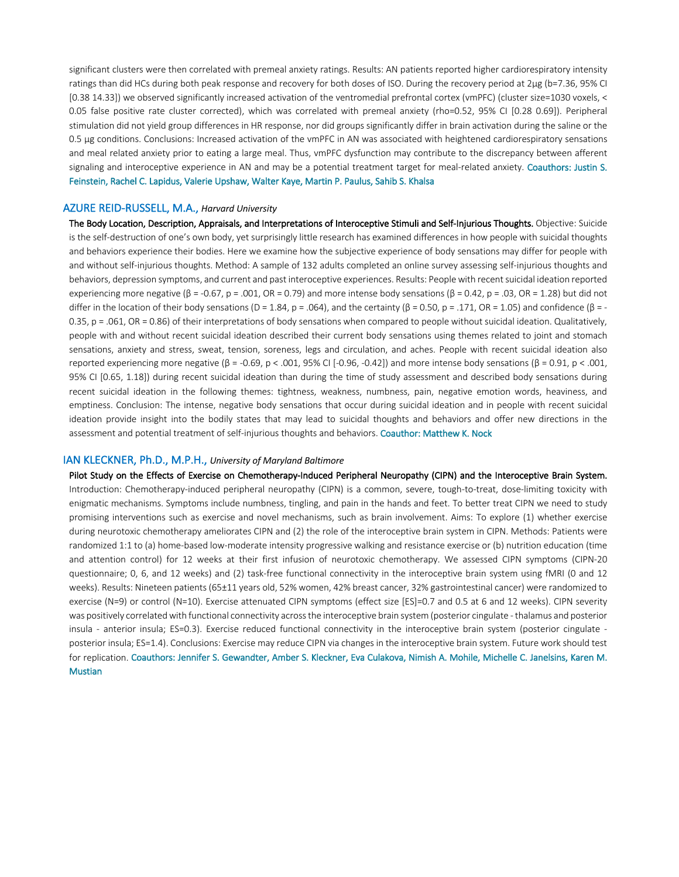significant clusters were then correlated with premeal anxiety ratings. Results: AN patients reported higher cardiorespiratory intensity ratings than did HCs during both peak response and recovery for both doses of ISO. During the recovery period at 2μg (b=7.36, 95% CI [0.38 14.33]) we observed significantly increased activation of the ventromedial prefrontal cortex (vmPFC) (cluster size=1030 voxels, < 0.05 false positive rate cluster corrected), which was correlated with premeal anxiety (rho=0.52, 95% CI [0.28 0.69]). Peripheral stimulation did not yield group differences in HR response, nor did groups significantly differ in brain activation during the saline or the 0.5 μg conditions. Conclusions: Increased activation of the vmPFC in AN was associated with heightened cardiorespiratory sensations and meal related anxiety prior to eating a large meal. Thus, vmPFC dysfunction may contribute to the discrepancy between afferent signaling and interoceptive experience in AN and may be a potential treatment target for meal-related anxiety. Coauthors: Justin S. Feinstein, Rachel C. Lapidus, Valerie Upshaw, Walter Kaye, Martin P. Paulus, Sahib S. Khalsa

#### AZURE REID-RUSSELL, M.A., *Harvard University*

The Body Location, Description, Appraisals, and Interpretations of Interoceptive Stimuli and Self-Injurious Thoughts. Objective: Suicide is the self-destruction of one's own body, yet surprisingly little research has examined differences in how people with suicidal thoughts and behaviors experience their bodies. Here we examine how the subjective experience of body sensations may differ for people with and without self-injurious thoughts. Method: A sample of 132 adults completed an online survey assessing self-injurious thoughts and behaviors, depression symptoms, and current and past interoceptive experiences. Results: People with recent suicidal ideation reported experiencing more negative (β = -0.67, p = .001, OR = 0.79) and more intense body sensations (β = 0.42, p = .03, OR = 1.28) but did not differ in the location of their body sensations (D = 1.84, p = .064), and the certainty (β = 0.50, p = .171, OR = 1.05) and confidence (β = -0.35, p = .061, OR = 0.86) of their interpretations of body sensations when compared to people without suicidal ideation. Qualitatively, people with and without recent suicidal ideation described their current body sensations using themes related to joint and stomach sensations, anxiety and stress, sweat, tension, soreness, legs and circulation, and aches. People with recent suicidal ideation also reported experiencing more negative (β = -0.69, p < .001, 95% CI [-0.96, -0.42]) and more intense body sensations (β = 0.91, p < .001, 95% CI [0.65, 1.18]) during recent suicidal ideation than during the time of study assessment and described body sensations during recent suicidal ideation in the following themes: tightness, weakness, numbness, pain, negative emotion words, heaviness, and emptiness. Conclusion: The intense, negative body sensations that occur during suicidal ideation and in people with recent suicidal ideation provide insight into the bodily states that may lead to suicidal thoughts and behaviors and offer new directions in the assessment and potential treatment of self-injurious thoughts and behaviors. Coauthor: Matthew K. Nock

#### IAN KLECKNER, Ph.D., M.P.H., *University of Maryland Baltimore*

Pilot Study on the Effects of Exercise on Chemotherapy-Induced Peripheral Neuropathy (CIPN) and the Interoceptive Brain System. Introduction: Chemotherapy-induced peripheral neuropathy (CIPN) is a common, severe, tough-to-treat, dose-limiting toxicity with enigmatic mechanisms. Symptoms include numbness, tingling, and pain in the hands and feet. To better treat CIPN we need to study promising interventions such as exercise and novel mechanisms, such as brain involvement. Aims: To explore (1) whether exercise during neurotoxic chemotherapy ameliorates CIPN and (2) the role of the interoceptive brain system in CIPN. Methods: Patients were randomized 1:1 to (a) home-based low-moderate intensity progressive walking and resistance exercise or (b) nutrition education (time and attention control) for 12 weeks at their first infusion of neurotoxic chemotherapy. We assessed CIPN symptoms (CIPN-20 questionnaire; 0, 6, and 12 weeks) and (2) task-free functional connectivity in the interoceptive brain system using fMRI (0 and 12 weeks). Results: Nineteen patients (65±11 years old, 52% women, 42% breast cancer, 32% gastrointestinal cancer) were randomized to exercise (N=9) or control (N=10). Exercise attenuated CIPN symptoms (effect size [ES]=0.7 and 0.5 at 6 and 12 weeks). CIPN severity was positively correlated with functional connectivity across the interoceptive brain system (posterior cingulate -thalamus and posterior insula - anterior insula; ES=0.3). Exercise reduced functional connectivity in the interoceptive brain system (posterior cingulate posterior insula; ES=1.4). Conclusions: Exercise may reduce CIPN via changes in the interoceptive brain system. Future work should test for replication. Coauthors: Jennifer S. Gewandter, Amber S. Kleckner, Eva Culakova, Nimish A. Mohile, Michelle C. Janelsins, Karen M. Mustian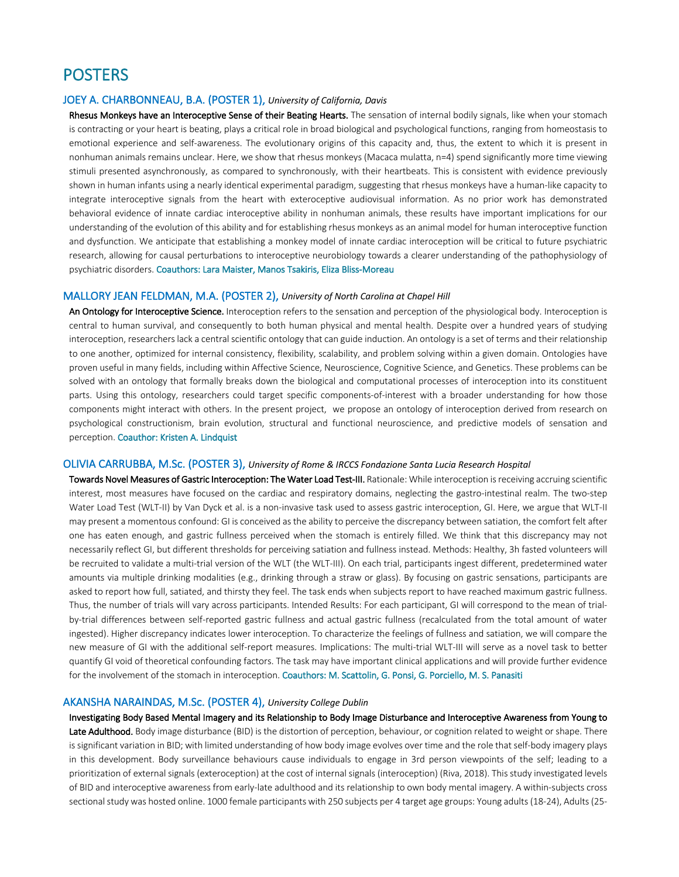### **POSTERS**

#### JOEY A. CHARBONNEAU, B.A. (POSTER 1), *University of California, Davis*

Rhesus Monkeys have an Interoceptive Sense of their Beating Hearts. The sensation of internal bodily signals, like when your stomach is contracting or your heart is beating, plays a critical role in broad biological and psychological functions, ranging from homeostasis to emotional experience and self-awareness. The evolutionary origins of this capacity and, thus, the extent to which it is present in nonhuman animals remains unclear. Here, we show that rhesus monkeys (Macaca mulatta, n=4) spend significantly more time viewing stimuli presented asynchronously, as compared to synchronously, with their heartbeats. This is consistent with evidence previously shown in human infants using a nearly identical experimental paradigm, suggesting that rhesus monkeys have a human-like capacity to integrate interoceptive signals from the heart with exteroceptive audiovisual information. As no prior work has demonstrated behavioral evidence of innate cardiac interoceptive ability in nonhuman animals, these results have important implications for our understanding of the evolution of this ability and for establishing rhesus monkeys as an animal model for human interoceptive function and dysfunction. We anticipate that establishing a monkey model of innate cardiac interoception will be critical to future psychiatric research, allowing for causal perturbations to interoceptive neurobiology towards a clearer understanding of the pathophysiology of psychiatric disorders. Coauthors: Lara Maister, Manos Tsakiris, Eliza Bliss-Moreau

#### MALLORY JEAN FELDMAN, M.A. (POSTER 2), *University of North Carolina at Chapel Hill*

An Ontology for Interoceptive Science. Interoception refers to the sensation and perception of the physiological body. Interoception is central to human survival, and consequently to both human physical and mental health. Despite over a hundred years of studying interoception, researchers lack a central scientific ontology that can guide induction. An ontology is a set of terms and their relationship to one another, optimized for internal consistency, flexibility, scalability, and problem solving within a given domain. Ontologies have proven useful in many fields, including within Affective Science, Neuroscience, Cognitive Science, and Genetics. These problems can be solved with an ontology that formally breaks down the biological and computational processes of interoception into its constituent parts. Using this ontology, researchers could target specific components-of-interest with a broader understanding for how those components might interact with others. In the present project, we propose an ontology of interoception derived from research on psychological constructionism, brain evolution, structural and functional neuroscience, and predictive models of sensation and perception. Coauthor: Kristen A. Lindquist

#### OLIVIA CARRUBBA, M.Sc. (POSTER 3), *University of Rome & IRCCS Fondazione Santa Lucia Research Hospital*

Towards Novel Measures of Gastric Interoception: The Water Load Test-III. Rationale: While interoception is receiving accruing scientific interest, most measures have focused on the cardiac and respiratory domains, neglecting the gastro-intestinal realm. The two-step Water Load Test (WLT-II) by Van Dyck et al. is a non-invasive task used to assess gastric interoception, GI. Here, we argue that WLT-II may present a momentous confound: GI is conceived as the ability to perceive the discrepancy between satiation, the comfort felt after one has eaten enough, and gastric fullness perceived when the stomach is entirely filled. We think that this discrepancy may not necessarily reflect GI, but different thresholds for perceiving satiation and fullness instead. Methods: Healthy, 3h fasted volunteers will be recruited to validate a multi-trial version of the WLT (the WLT-III). On each trial, participants ingest different, predetermined water amounts via multiple drinking modalities (e.g., drinking through a straw or glass). By focusing on gastric sensations, participants are asked to report how full, satiated, and thirsty they feel. The task ends when subjects report to have reached maximum gastric fullness. Thus, the number of trials will vary across participants. Intended Results: For each participant, GI will correspond to the mean of trialby-trial differences between self-reported gastric fullness and actual gastric fullness (recalculated from the total amount of water ingested). Higher discrepancy indicates lower interoception. To characterize the feelings of fullness and satiation, we will compare the new measure of GI with the additional self-report measures. Implications: The multi-trial WLT-III will serve as a novel task to better quantify GI void of theoretical confounding factors. The task may have important clinical applications and will provide further evidence for the involvement of the stomach in interoception. Coauthors: M. Scattolin, G. Ponsi, G. Porciello, M. S. Panasiti

#### AKANSHA NARAINDAS, M.Sc. (POSTER 4), *University College Dublin*

Investigating Body Based Mental Imagery and its Relationship to Body Image Disturbance and Interoceptive Awareness from Young to Late Adulthood. Body image disturbance (BID) is the distortion of perception, behaviour, or cognition related to weight or shape. There is significant variation in BID; with limited understanding of how body image evolves over time and the role that self-body imagery plays in this development. Body surveillance behaviours cause individuals to engage in 3rd person viewpoints of the self; leading to a prioritization of external signals (exteroception) at the cost of internal signals (interoception) (Riva, 2018). This study investigated levels of BID and interoceptive awareness from early-late adulthood and its relationship to own body mental imagery. A within-subjects cross sectional study was hosted online. 1000 female participants with 250 subjects per 4 target age groups: Young adults (18-24), Adults (25-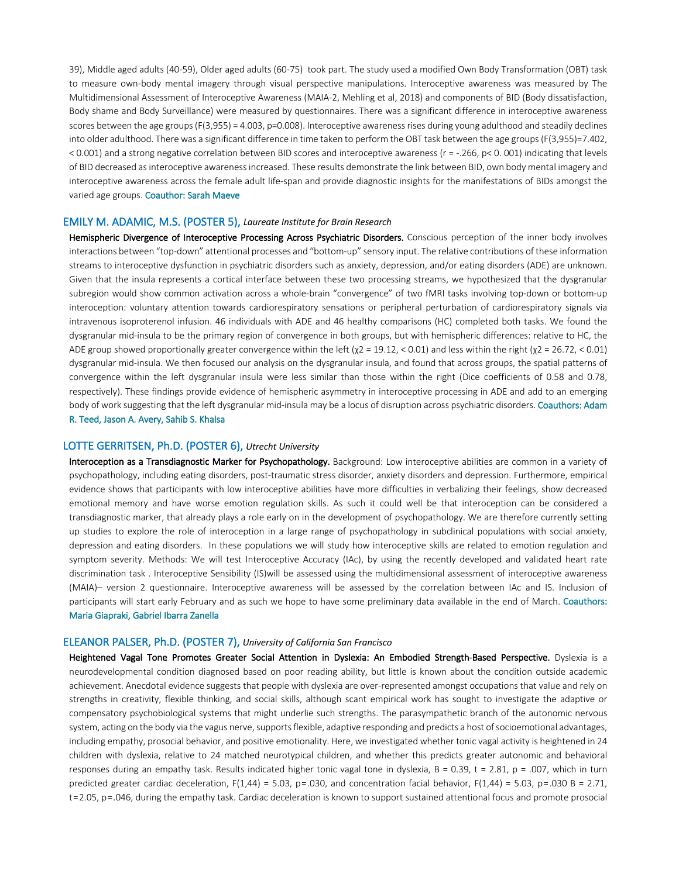39), Middle aged adults (40-59), Older aged adults (60-75) took part. The study used a modified Own Body Transformation (OBT) task to measure own-body mental imagery through visual perspective manipulations. Interoceptive awareness was measured by The Multidimensional Assessment of Interoceptive Awareness (MAIA-2, Mehling et al, 2018) and components of BID (Body dissatisfaction, Body shame and Body Surveillance) were measured by questionnaires. There was a significant difference in interoceptive awareness scores between the age groups (F(3,955) = 4.003, p=0.008). Interoceptive awareness rises during young adulthood and steadily declines into older adulthood. There was a significant difference in time taken to perform the OBT task between the age groups (F(3,955)=7.402, < 0.001) and a strong negative correlation between BID scores and interoceptive awareness (r = -.266, p< 0. 001) indicating that levels of BID decreased as interoceptive awareness increased. These results demonstrate the link between BID, own body mental imagery and interoceptive awareness across the female adult life-span and provide diagnostic insights for the manifestations of BIDs amongst the varied age groups. Coauthor: Sarah Maeve

#### EMILY M. ADAMIC, M.S. (POSTER 5), *Laureate Institute for Brain Research*

Hemispheric Divergence of Interoceptive Processing Across Psychiatric Disorders. Conscious perception of the inner body involves interactions between "top-down" attentional processes and "bottom-up" sensory input. The relative contributions of these information streams to interoceptive dysfunction in psychiatric disorders such as anxiety, depression, and/or eating disorders (ADE) are unknown. Given that the insula represents a cortical interface between these two processing streams, we hypothesized that the dysgranular subregion would show common activation across a whole-brain "convergence" of two fMRI tasks involving top-down or bottom-up interoception: voluntary attention towards cardiorespiratory sensations or peripheral perturbation of cardiorespiratory signals via intravenous isoproterenol infusion. 46 individuals with ADE and 46 healthy comparisons (HC) completed both tasks. We found the dysgranular mid-insula to be the primary region of convergence in both groups, but with hemispheric differences: relative to HC, the ADE group showed proportionally greater convergence within the left  $(\chi^2 = 19.12, < 0.01)$  and less within the right  $(\chi^2 = 26.72, < 0.01)$ dysgranular mid-insula. We then focused our analysis on the dysgranular insula, and found that across groups, the spatial patterns of convergence within the left dysgranular insula were less similar than those within the right (Dice coefficients of 0.58 and 0.78, respectively). These findings provide evidence of hemispheric asymmetry in interoceptive processing in ADE and add to an emerging body of work suggesting that the left dysgranular mid-insula may be a locus of disruption across psychiatric disorders. Coauthors: Adam R. Teed, Jason A. Avery, Sahib S. Khalsa

#### LOTTE GERRITSEN, Ph.D. (POSTER 6), *Utrecht University*

Interoception as a Transdiagnostic Marker for Psychopathology. Background: Low interoceptive abilities are common in a variety of psychopathology, including eating disorders, post-traumatic stress disorder, anxiety disorders and depression. Furthermore, empirical evidence shows that participants with low interoceptive abilities have more difficulties in verbalizing their feelings, show decreased emotional memory and have worse emotion regulation skills. As such it could well be that interoception can be considered a transdiagnostic marker, that already plays a role early on in the development of psychopathology. We are therefore currently setting up studies to explore the role of interoception in a large range of psychopathology in subclinical populations with social anxiety, depression and eating disorders. In these populations we will study how interoceptive skills are related to emotion regulation and symptom severity. Methods: We will test Interoceptive Accuracy (IAc), by using the recently developed and validated heart rate discrimination task . Interoceptive Sensibility (IS)will be assessed using the multidimensional assessment of interoceptive awareness (MAIA)– version 2 questionnaire. Interoceptive awareness will be assessed by the correlation between IAc and IS. Inclusion of participants will start early February and as such we hope to have some preliminary data available in the end of March. Coauthors: Maria Giapraki, Gabriel Ibarra Zanella

#### ELEANOR PALSER, Ph.D. (POSTER 7), *University of California San Francisco*

Heightened Vagal Tone Promotes Greater Social Attention in Dyslexia: An Embodied Strength-Based Perspective. Dyslexia is a neurodevelopmental condition diagnosed based on poor reading ability, but little is known about the condition outside academic achievement. Anecdotal evidence suggests that people with dyslexia are over-represented amongst occupations that value and rely on strengths in creativity, flexible thinking, and social skills, although scant empirical work has sought to investigate the adaptive or compensatory psychobiological systems that might underlie such strengths. The parasympathetic branch of the autonomic nervous system, acting on the body via the vagus nerve, supports flexible, adaptive responding and predicts a host of socioemotional advantages, including empathy, prosocial behavior, and positive emotionality. Here, we investigated whether tonic vagal activity is heightened in 24 children with dyslexia, relative to 24 matched neurotypical children, and whether this predicts greater autonomic and behavioral responses during an empathy task. Results indicated higher tonic vagal tone in dyslexia, Β = 0.39, t = 2.81, p = .007, which in turn predicted greater cardiac deceleration,  $F(1,44) = 5.03$ ,  $p = .030$ , and concentration facial behavior,  $F(1,44) = 5.03$ ,  $p = .030$  B = 2.71, t = 2.05, p = .046, during the empathy task. Cardiac deceleration is known to support sustained attentional focus and promote prosocial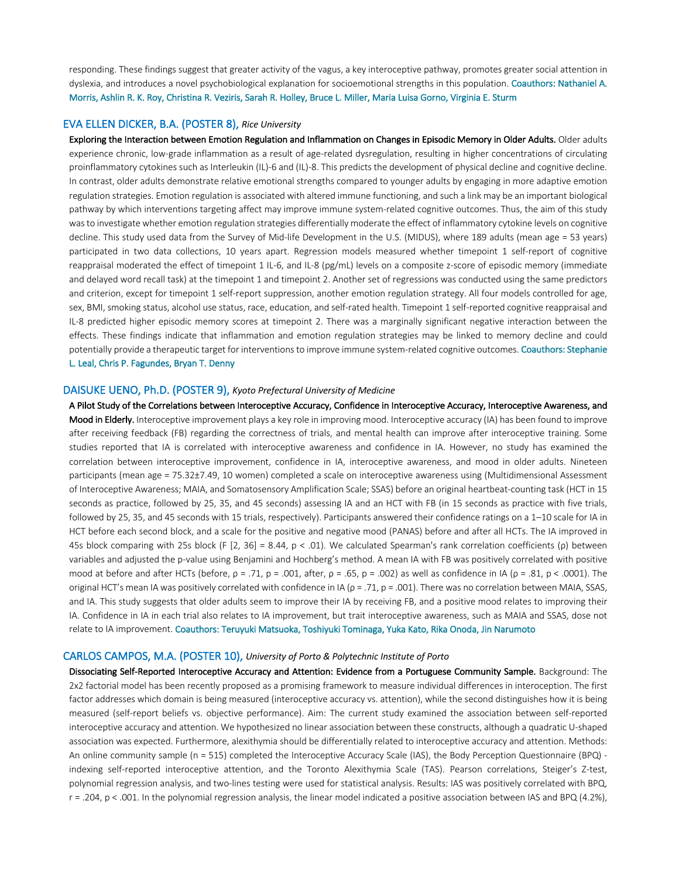responding. These findings suggest that greater activity of the vagus, a key interoceptive pathway, promotes greater social attention in dyslexia, and introduces a novel psychobiological explanation for socioemotional strengths in this population. Coauthors: Nathaniel A. Morris, Ashlin R. K. Roy, Christina R. Veziris, Sarah R. Holley, Bruce L. Miller, Maria Luisa Gorno, Virginia E. Sturm

#### EVA ELLEN DICKER, B.A. (POSTER 8), *Rice University*

Exploring the Interaction between Emotion Regulation and Inflammation on Changes in Episodic Memory in Older Adults. Older adults experience chronic, low-grade inflammation as a result of age-related dysregulation, resulting in higher concentrations of circulating proinflammatory cytokines such as Interleukin (IL)-6 and (IL)-8. This predicts the development of physical decline and cognitive decline. In contrast, older adults demonstrate relative emotional strengths compared to younger adults by engaging in more adaptive emotion regulation strategies. Emotion regulation is associated with altered immune functioning, and such a link may be an important biological pathway by which interventions targeting affect may improve immune system-related cognitive outcomes. Thus, the aim of this study was to investigate whether emotion regulation strategies differentially moderate the effect of inflammatory cytokine levels on cognitive decline. This study used data from the Survey of Mid-life Development in the U.S. (MIDUS), where 189 adults (mean age = 53 years) participated in two data collections, 10 years apart. Regression models measured whether timepoint 1 self-report of cognitive reappraisal moderated the effect of timepoint 1 IL-6, and IL-8 (pg/mL) levels on a composite z-score of episodic memory (immediate and delayed word recall task) at the timepoint 1 and timepoint 2. Another set of regressions was conducted using the same predictors and criterion, except for timepoint 1 self-report suppression, another emotion regulation strategy. All four models controlled for age, sex, BMI, smoking status, alcohol use status, race, education, and self-rated health. Timepoint 1 self-reported cognitive reappraisal and IL-8 predicted higher episodic memory scores at timepoint 2. There was a marginally significant negative interaction between the effects. These findings indicate that inflammation and emotion regulation strategies may be linked to memory decline and could potentially provide a therapeutic target for interventions to improve immune system-related cognitive outcomes. Coauthors: Stephanie L. Leal, Chris P. Fagundes, Bryan T. Denny

#### DAISUKE UENO, Ph.D. (POSTER 9), *Kyoto Prefectural University of Medicine*

A Pilot Study of the Correlations between Interoceptive Accuracy, Confidence in Interoceptive Accuracy, Interoceptive Awareness, and Mood in Elderly. Interoceptive improvement plays a key role in improving mood. Interoceptive accuracy (IA) has been found to improve after receiving feedback (FB) regarding the correctness of trials, and mental health can improve after interoceptive training. Some studies reported that IA is correlated with interoceptive awareness and confidence in IA. However, no study has examined the correlation between interoceptive improvement, confidence in IA, interoceptive awareness, and mood in older adults. Nineteen participants (mean age = 75.32±7.49, 10 women) completed a scale on interoceptive awareness using (Multidimensional Assessment of Interoceptive Awareness; MAIA, and Somatosensory Amplification Scale; SSAS) before an original heartbeat-counting task (HCT in 15 seconds as practice, followed by 25, 35, and 45 seconds) assessing IA and an HCT with FB (in 15 seconds as practice with five trials, followed by 25, 35, and 45 seconds with 15 trials, respectively). Participants answered their confidence ratings on a 1–10 scale for IA in HCT before each second block, and a scale for the positive and negative mood (PANAS) before and after all HCTs. The IA improved in 45s block comparing with 25s block (F [2, 36] = 8.44, p < .01). We calculated Spearman's rank correlation coefficients (ρ) between variables and adjusted the p-value using Benjamini and Hochberg's method. A mean IA with FB was positively correlated with positive mood at before and after HCTs (before,  $p = .71$ ,  $p = .001$ , after,  $p = .65$ ,  $p = .002$ ) as well as confidence in IA ( $p = .81$ ,  $p < .0001$ ). The original HCT's mean IA was positively correlated with confidence in IA ( $\rho = .71$ ,  $p = .001$ ). There was no correlation between MAIA, SSAS, and IA. This study suggests that older adults seem to improve their IA by receiving FB, and a positive mood relates to improving their IA. Confidence in IA in each trial also relates to IA improvement, but trait interoceptive awareness, such as MAIA and SSAS, dose not relate to IA improvement. Coauthors: Teruyuki Matsuoka, Toshiyuki Tominaga, Yuka Kato, Rika Onoda, Jin Narumoto

### CARLOS CAMPOS, M.A. (POSTER 10), *University of Porto & Polytechnic Institute of Porto*

Dissociating Self-Reported Interoceptive Accuracy and Attention: Evidence from a Portuguese Community Sample. Background: The 2x2 factorial model has been recently proposed as a promising framework to measure individual differences in interoception. The first factor addresses which domain is being measured (interoceptive accuracy vs. attention), while the second distinguishes how it is being measured (self-report beliefs vs. objective performance). Aim: The current study examined the association between self-reported interoceptive accuracy and attention. We hypothesized no linear association between these constructs, although a quadratic U-shaped association was expected. Furthermore, alexithymia should be differentially related to interoceptive accuracy and attention. Methods: An online community sample (n = 515) completed the Interoceptive Accuracy Scale (IAS), the Body Perception Questionnaire (BPQ) indexing self-reported interoceptive attention, and the Toronto Alexithymia Scale (TAS). Pearson correlations, Steiger's Z-test, polynomial regression analysis, and two-lines testing were used for statistical analysis. Results: IAS was positively correlated with BPQ, r = .204, p < .001. In the polynomial regression analysis, the linear model indicated a positive association between IAS and BPQ (4.2%),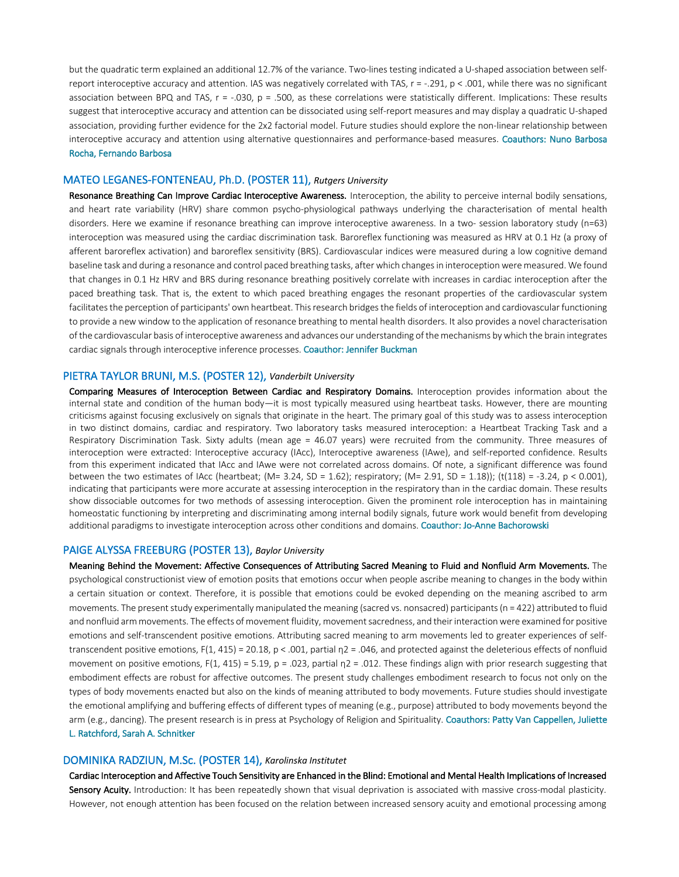but the quadratic term explained an additional 12.7% of the variance. Two-lines testing indicated a U-shaped association between selfreport interoceptive accuracy and attention. IAS was negatively correlated with TAS,  $r = -.291$ ,  $p < .001$ , while there was no significant association between BPQ and TAS,  $r = -0.030$ ,  $p = 0.500$ , as these correlations were statistically different. Implications: These results suggest that interoceptive accuracy and attention can be dissociated using self-report measures and may display a quadratic U-shaped association, providing further evidence for the 2x2 factorial model. Future studies should explore the non-linear relationship between interoceptive accuracy and attention using alternative questionnaires and performance-based measures. Coauthors: Nuno Barbosa Rocha, Fernando Barbosa

#### MATEO LEGANES-FONTENEAU, Ph.D. (POSTER 11), *Rutgers University*

Resonance Breathing Can Improve Cardiac Interoceptive Awareness. Interoception, the ability to perceive internal bodily sensations, and heart rate variability (HRV) share common psycho-physiological pathways underlying the characterisation of mental health disorders. Here we examine if resonance breathing can improve interoceptive awareness. In a two- session laboratory study (n=63) interoception was measured using the cardiac discrimination task. Baroreflex functioning was measured as HRV at 0.1 Hz (a proxy of afferent baroreflex activation) and baroreflex sensitivity (BRS). Cardiovascular indices were measured during a low cognitive demand baseline task and during a resonance and control paced breathing tasks, after which changes in interoception were measured. We found that changes in 0.1 Hz HRV and BRS during resonance breathing positively correlate with increases in cardiac interoception after the paced breathing task. That is, the extent to which paced breathing engages the resonant properties of the cardiovascular system facilitates the perception of participants' own heartbeat. This research bridges the fields of interoception and cardiovascular functioning to provide a new window to the application of resonance breathing to mental health disorders. It also provides a novel characterisation of the cardiovascular basis of interoceptive awareness and advances our understanding of the mechanisms by which the brain integrates cardiac signals through interoceptive inference processes. Coauthor: Jennifer Buckman

#### PIETRA TAYLOR BRUNI, M.S. (POSTER 12), *Vanderbilt University*

Comparing Measures of Interoception Between Cardiac and Respiratory Domains. Interoception provides information about the internal state and condition of the human body—it is most typically measured using heartbeat tasks. However, there are mounting criticisms against focusing exclusively on signals that originate in the heart. The primary goal of this study was to assess interoception in two distinct domains, cardiac and respiratory. Two laboratory tasks measured interoception: a Heartbeat Tracking Task and a Respiratory Discrimination Task. Sixty adults (mean age = 46.07 years) were recruited from the community. Three measures of interoception were extracted: Interoceptive accuracy (IAcc), Interoceptive awareness (IAwe), and self-reported confidence. Results from this experiment indicated that IAcc and IAwe were not correlated across domains. Of note, a significant difference was found between the two estimates of IAcc (heartbeat; (M= 3.24, SD = 1.62); respiratory; (M= 2.91, SD = 1.18)); (t(118) = -3.24, p < 0.001), indicating that participants were more accurate at assessing interoception in the respiratory than in the cardiac domain. These results show dissociable outcomes for two methods of assessing interoception. Given the prominent role interoception has in maintaining homeostatic functioning by interpreting and discriminating among internal bodily signals, future work would benefit from developing additional paradigms to investigate interoception across other conditions and domains. Coauthor: Jo-Anne Bachorowski

#### PAIGE ALYSSA FREEBURG (POSTER 13), *Baylor University*

Meaning Behind the Movement: Affective Consequences of Attributing Sacred Meaning to Fluid and Nonfluid Arm Movements. The psychological constructionist view of emotion posits that emotions occur when people ascribe meaning to changes in the body within a certain situation or context. Therefore, it is possible that emotions could be evoked depending on the meaning ascribed to arm movements. The present study experimentally manipulated the meaning (sacred vs. nonsacred) participants (n = 422) attributed to fluid and nonfluid arm movements. The effects of movement fluidity, movement sacredness, and their interaction were examined for positive emotions and self-transcendent positive emotions. Attributing sacred meaning to arm movements led to greater experiences of selftranscendent positive emotions, F(1, 415) = 20.18, p < .001, partial  $p2 = .046$ , and protected against the deleterious effects of nonfluid movement on positive emotions,  $F(1, 415) = 5.19$ ,  $p = .023$ , partial  $p = .012$ . These findings align with prior research suggesting that embodiment effects are robust for affective outcomes. The present study challenges embodiment research to focus not only on the types of body movements enacted but also on the kinds of meaning attributed to body movements. Future studies should investigate the emotional amplifying and buffering effects of different types of meaning (e.g., purpose) attributed to body movements beyond the arm (e.g., dancing). The present research is in press at Psychology of Religion and Spirituality. Coauthors: Patty Van Cappellen, Juliette L. Ratchford, Sarah A. Schnitker

#### DOMINIKA RADZIUN, M.Sc. (POSTER 14), *Karolinska Institutet*

Cardiac Interoception and Affective Touch Sensitivity are Enhanced in the Blind: Emotional and Mental Health Implications of Increased Sensory Acuity. Introduction: It has been repeatedly shown that visual deprivation is associated with massive cross-modal plasticity. However, not enough attention has been focused on the relation between increased sensory acuity and emotional processing among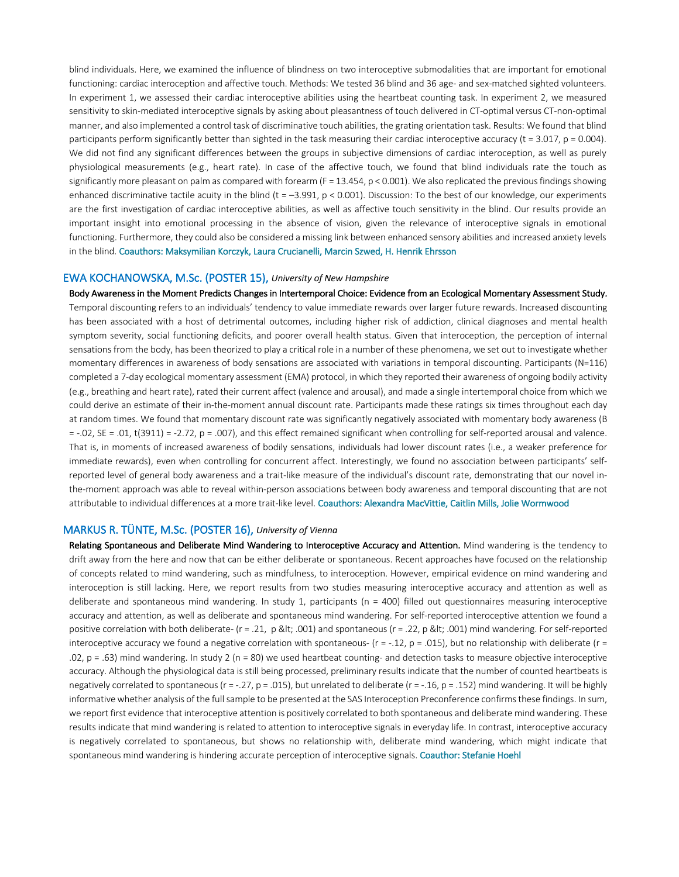blind individuals. Here, we examined the influence of blindness on two interoceptive submodalities that are important for emotional functioning: cardiac interoception and affective touch. Methods: We tested 36 blind and 36 age- and sex-matched sighted volunteers. In experiment 1, we assessed their cardiac interoceptive abilities using the heartbeat counting task. In experiment 2, we measured sensitivity to skin-mediated interoceptive signals by asking about pleasantness of touch delivered in CT-optimal versus CT-non-optimal manner, and also implemented a control task of discriminative touch abilities, the grating orientation task. Results: We found that blind participants perform significantly better than sighted in the task measuring their cardiac interoceptive accuracy ( $t = 3.017$ ,  $p = 0.004$ ). We did not find any significant differences between the groups in subjective dimensions of cardiac interoception, as well as purely physiological measurements (e.g., heart rate). In case of the affective touch, we found that blind individuals rate the touch as significantly more pleasant on palm as compared with forearm ( $F = 13.454$ ,  $p < 0.001$ ). We also replicated the previous findings showing enhanced discriminative tactile acuity in the blind (t =  $-3.991$ ,  $p < 0.001$ ). Discussion: To the best of our knowledge, our experiments are the first investigation of cardiac interoceptive abilities, as well as affective touch sensitivity in the blind. Our results provide an important insight into emotional processing in the absence of vision, given the relevance of interoceptive signals in emotional functioning. Furthermore, they could also be considered a missing link between enhanced sensory abilities and increased anxiety levels in the blind. Coauthors: Maksymilian Korczyk, Laura Crucianelli, Marcin Szwed, H. Henrik Ehrsson

#### EWA KOCHANOWSKA, M.Sc. (POSTER 15), *University of New Hampshire*

Body Awareness in the Moment Predicts Changes in Intertemporal Choice: Evidence from an Ecological Momentary Assessment Study. Temporal discounting refers to an individuals' tendency to value immediate rewards over larger future rewards. Increased discounting has been associated with a host of detrimental outcomes, including higher risk of addiction, clinical diagnoses and mental health symptom severity, social functioning deficits, and poorer overall health status. Given that interoception, the perception of internal sensations from the body, has been theorized to play a critical role in a number of these phenomena, we set out to investigate whether momentary differences in awareness of body sensations are associated with variations in temporal discounting. Participants (N=116) completed a 7-day ecological momentary assessment (EMA) protocol, in which they reported their awareness of ongoing bodily activity (e.g., breathing and heart rate), rated their current affect (valence and arousal), and made a single intertemporal choice from which we could derive an estimate of their in-the-moment annual discount rate. Participants made these ratings six times throughout each day at random times. We found that momentary discount rate was significantly negatively associated with momentary body awareness (B  $= -0.02$ , SE  $= 0.01$ , t(3911)  $= -2.72$ , p  $= 0.007$ ), and this effect remained significant when controlling for self-reported arousal and valence. That is, in moments of increased awareness of bodily sensations, individuals had lower discount rates (i.e., a weaker preference for immediate rewards), even when controlling for concurrent affect. Interestingly, we found no association between participants' selfreported level of general body awareness and a trait-like measure of the individual's discount rate, demonstrating that our novel inthe-moment approach was able to reveal within-person associations between body awareness and temporal discounting that are not attributable to individual differences at a more trait-like level. Coauthors: Alexandra MacVittie, Caitlin Mills, Jolie Wormwood

#### MARKUS R. TÜNTE, M.Sc. (POSTER 16), *University of Vienna*

Relating Spontaneous and Deliberate Mind Wandering to Interoceptive Accuracy and Attention. Mind wandering is the tendency to drift away from the here and now that can be either deliberate or spontaneous. Recent approaches have focused on the relationship of concepts related to mind wandering, such as mindfulness, to interoception. However, empirical evidence on mind wandering and interoception is still lacking. Here, we report results from two studies measuring interoceptive accuracy and attention as well as deliberate and spontaneous mind wandering. In study 1, participants (n = 400) filled out questionnaires measuring interoceptive accuracy and attention, as well as deliberate and spontaneous mind wandering. For self-reported interoceptive attention we found a positive correlation with both deliberate- (r = .21, p < .001) and spontaneous (r = .22, p &lt; .001) mind wandering. For self-reported interoceptive accuracy we found a negative correlation with spontaneous-  $(r = -.12, p = .015)$ , but no relationship with deliberate  $(r = .015, p = .015)$ .02,  $p = .63$ ) mind wandering. In study 2 ( $n = 80$ ) we used heartbeat counting- and detection tasks to measure objective interoceptive accuracy. Although the physiological data is still being processed, preliminary results indicate that the number of counted heartbeats is negatively correlated to spontaneous ( $r = -.27$ ,  $p = .015$ ), but unrelated to deliberate ( $r = -.16$ ,  $p = .152$ ) mind wandering. It will be highly informative whether analysis of the full sample to be presented at the SAS Interoception Preconference confirms these findings. In sum, we report first evidence that interoceptive attention is positively correlated to both spontaneous and deliberate mind wandering. These results indicate that mind wandering is related to attention to interoceptive signals in everyday life. In contrast, interoceptive accuracy is negatively correlated to spontaneous, but shows no relationship with, deliberate mind wandering, which might indicate that spontaneous mind wandering is hindering accurate perception of interoceptive signals. Coauthor: Stefanie Hoehl